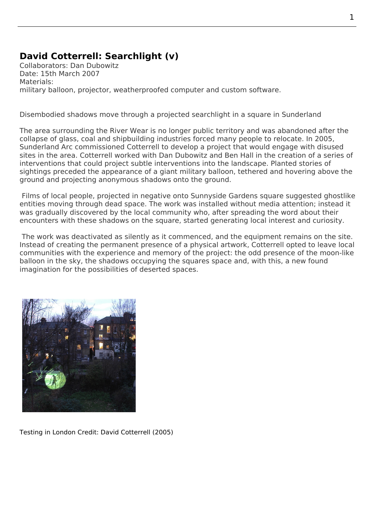## **David Cotterrell: Searchlight (v)**

Collaborators: Dan Dubowitz Date: 15th March 2007 Materials: military balloon, projector, weatherproofed computer and custom software.

Disembodied shadows move through a projected searchlight in a square in Sunderland

The area surrounding the River Wear is no longer public territory and was abandoned after the collapse of glass, coal and shipbuilding industries forced many people to relocate. In 2005, Sunderland Arc commissioned Cotterrell to develop a project that would engage with disused sites in the area. Cotterrell worked with Dan Dubowitz and Ben Hall in the creation of a series of interventions that could project subtle interventions into the landscape. Planted stories of sightings preceded the appearance of a giant military balloon, tethered and hovering above the ground and projecting anonymous shadows onto the ground.

 Films of local people, projected in negative onto Sunnyside Gardens square suggested ghostlike entities moving through dead space. The work was installed without media attention; instead it was gradually discovered by the local community who, after spreading the word about their encounters with these shadows on the square, started generating local interest and curiosity.

 The work was deactivated as silently as it commenced, and the equipment remains on the site. Instead of creating the permanent presence of a physical artwork, Cotterrell opted to leave local communities with the experience and memory of the project: the odd presence of the moon-like balloon in the sky, the shadows occupying the squares space and, with this, a new found imagination for the possibilities of deserted spaces.



Testing in London Credit: David Cotterrell (2005)